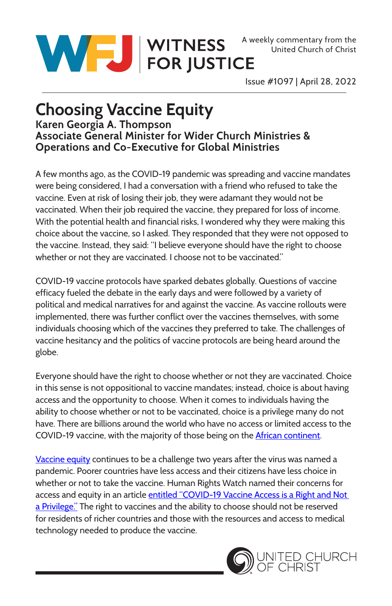



Issue #1097 | April 28, 2022

## **Choosing Vaccine Equity Karen Georgia A. Thompson Associate General Minister for Wider Church Ministries & Operations and Co-Executive for Global Ministries**

A few months ago, as the COVID-19 pandemic was spreading and vaccine mandates were being considered, I had a conversation with a friend who refused to take the vaccine. Even at risk of losing their job, they were adamant they would not be vaccinated. When their job required the vaccine, they prepared for loss of income. With the potential health and financial risks, I wondered why they were making this choice about the vaccine, so I asked. They responded that they were not opposed to the vaccine. Instead, they said: "I believe everyone should have the right to choose whether or not they are vaccinated. I choose not to be vaccinated."

COVID-19 vaccine protocols have sparked debates globally. Questions of vaccine efficacy fueled the debate in the early days and were followed by a variety of political and medical narratives for and against the vaccine. As vaccine rollouts were implemented, there was further conflict over the vaccines themselves, with some individuals choosing which of the vaccines they preferred to take. The challenges of vaccine hesitancy and the politics of vaccine protocols are being heard around the globe.

Everyone should have the right to choose whether or not they are vaccinated. Choice in this sense is not oppositional to vaccine mandates; instead, choice is about having access and the opportunity to choose. When it comes to individuals having the ability to choose whether or not to be vaccinated, choice is a privilege many do not have. There are billions around the world who have no access or limited access to the COVID-19 vaccine, with the majority of those being on the [African continent](https://www.brookings.edu/blog/africa-in-focus/2022/01/24/vaccine-inequity-ensuring-africa-is-not-left-out/).

[Vaccine equity](https://news.un.org/en/story/2022/03/1114762) continues to be a challenge two years after the virus was named a pandemic. Poorer countries have less access and their citizens have less choice in whether or not to take the vaccine. Human Rights Watch named their concerns for access and equity in an article [entitled "COVID-19 Vaccine Access is a Right and Not](https://www.hrw.org/news/2022/03/10/covid-19-vaccine-access-right-not-privilege)  [a Privilege."](https://www.hrw.org/news/2022/03/10/covid-19-vaccine-access-right-not-privilege) The right to vaccines and the ability to choose should not be reserved for residents of richer countries and those with the resources and access to medical technology needed to produce the vaccine.